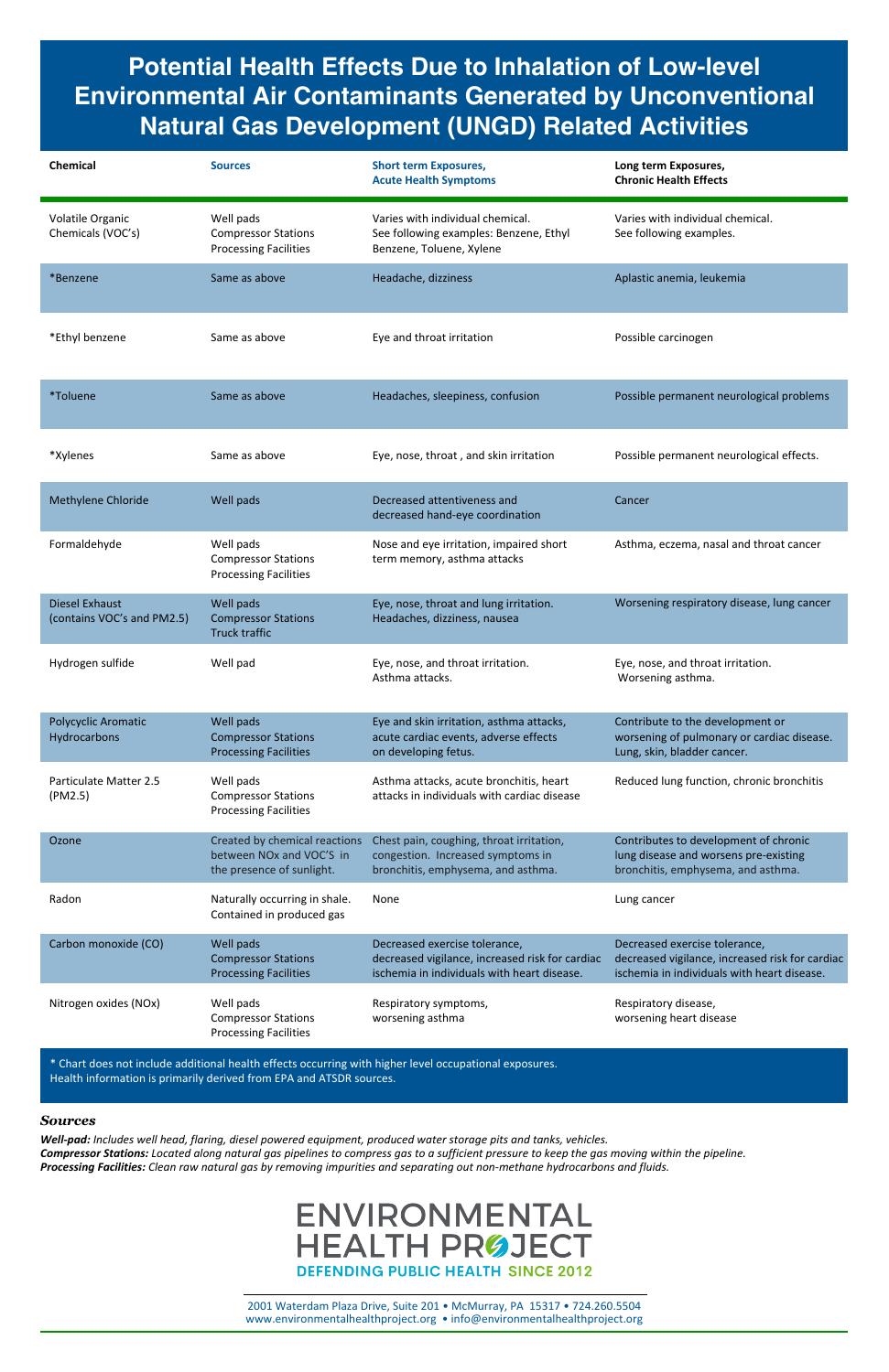**Potential Health Effects Due to Inhalation of Low-level Environmental Air Contaminants Generated by Unconventional Natural Gas Development (UNGD) Related Activities**

Compressor Stations worsening asthma worsening heart disease

Processing Facilities

\* Chart does not include additional health effects occurring with higher level occupational exposures. Health information is primarily derived from EPA and ATSDR sources.

## *Sources*

*Well-pad: Includes well head, flaring, diesel powered equipment, produced water storage pits and tanks, vehicles. Compressor Stations: Located along natural gas pipelines to compress gas to a sufficient pressure to keep the gas moving within the pipeline. Processing Facilities: Clean raw natural gas by removing impurities and separating out non-methane hydrocarbons and fluids.*

## **ENVIRONMENTAL HEALTH PRØJECT DEFENDING PUBLIC HEALTH SINCE 2012**

| <b>Chemical</b>                                     | <b>Sources</b>                                                                                     | <b>Short term Exposures,</b><br><b>Acute Health Symptoms</b>                                                                    | Long term Exposures,<br><b>Chronic Health Effects</b>                                                                           |
|-----------------------------------------------------|----------------------------------------------------------------------------------------------------|---------------------------------------------------------------------------------------------------------------------------------|---------------------------------------------------------------------------------------------------------------------------------|
| Volatile Organic<br>Chemicals (VOC's)               | Well pads<br><b>Compressor Stations</b><br><b>Processing Facilities</b>                            | Varies with individual chemical.<br>See following examples: Benzene, Ethyl<br>Benzene, Toluene, Xylene                          | Varies with individual chemical.<br>See following examples.                                                                     |
| *Benzene                                            | Same as above                                                                                      | Headache, dizziness                                                                                                             | Aplastic anemia, leukemia                                                                                                       |
| *Ethyl benzene                                      | Same as above                                                                                      | Eye and throat irritation                                                                                                       | Possible carcinogen                                                                                                             |
| *Toluene                                            | Same as above                                                                                      | Headaches, sleepiness, confusion                                                                                                | Possible permanent neurological problems                                                                                        |
| *Xylenes                                            | Same as above                                                                                      | Eye, nose, throat, and skin irritation                                                                                          | Possible permanent neurological effects.                                                                                        |
| Methylene Chloride                                  | Well pads                                                                                          | Decreased attentiveness and<br>decreased hand-eye coordination                                                                  | Cancer                                                                                                                          |
| Formaldehyde                                        | Well pads<br><b>Compressor Stations</b><br><b>Processing Facilities</b>                            | Nose and eye irritation, impaired short<br>term memory, asthma attacks                                                          | Asthma, eczema, nasal and throat cancer                                                                                         |
| <b>Diesel Exhaust</b><br>(contains VOC's and PM2.5) | Well pads<br><b>Compressor Stations</b><br><b>Truck traffic</b>                                    | Eye, nose, throat and lung irritation.<br>Headaches, dizziness, nausea                                                          | Worsening respiratory disease, lung cancer                                                                                      |
| Hydrogen sulfide                                    | Well pad                                                                                           | Eye, nose, and throat irritation.<br>Asthma attacks.                                                                            | Eye, nose, and throat irritation.<br>Worsening asthma.                                                                          |
| Polycyclic Aromatic<br>Hydrocarbons                 | Well pads<br><b>Compressor Stations</b><br><b>Processing Facilities</b>                            | Eye and skin irritation, asthma attacks,<br>acute cardiac events, adverse effects<br>on developing fetus.                       | Contribute to the development or<br>worsening of pulmonary or cardiac disease.<br>Lung, skin, bladder cancer.                   |
| <b>Particulate Matter 2.5</b><br>(PM2.5)            | Well pads<br><b>Compressor Stations</b><br><b>Processing Facilities</b>                            | Asthma attacks, acute bronchitis, heart<br>attacks in individuals with cardiac disease                                          | Reduced lung function, chronic bronchitis                                                                                       |
| Ozone                                               | Created by chemical reactions<br>between NO <sub>x</sub> and VOC'S in<br>the presence of sunlight. | Chest pain, coughing, throat irritation,<br>congestion. Increased symptoms in<br>bronchitis, emphysema, and asthma.             | Contributes to development of chronic<br>lung disease and worsens pre-existing<br>bronchitis, emphysema, and asthma.            |
| Radon                                               | Naturally occurring in shale.<br>Contained in produced gas                                         | None                                                                                                                            | Lung cancer                                                                                                                     |
| Carbon monoxide (CO)                                | Well pads<br><b>Compressor Stations</b><br><b>Processing Facilities</b>                            | Decreased exercise tolerance,<br>decreased vigilance, increased risk for cardiac<br>ischemia in individuals with heart disease. | Decreased exercise tolerance,<br>decreased vigilance, increased risk for cardiac<br>ischemia in individuals with heart disease. |
| Nitrogen oxides (NOx)                               | Well pads                                                                                          | Respiratory symptoms,                                                                                                           | Respiratory disease,                                                                                                            |

2001 Waterdam Plaza Drive, Suite 201 • McMurray, PA 15317 • 724.260.5504 www.environmentalhealthproject.org • info@environmentalhealthproject.org